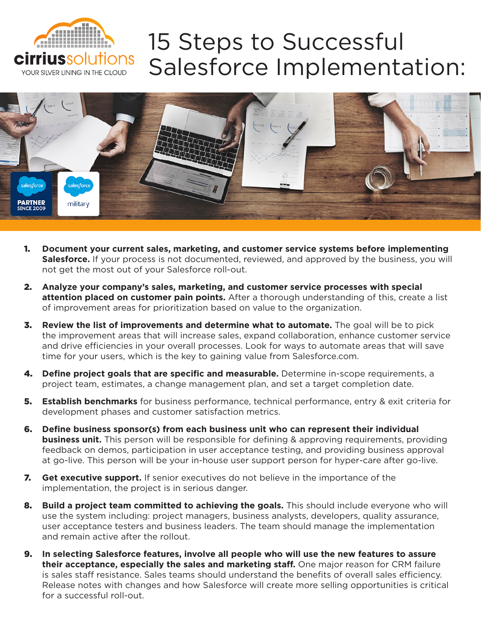

## 15 Steps to Successful Salesforce Implementation:



- 1. **Document your current sales, marketing, and customer service systems before implementing**  Salesforce. If your process is not documented, reviewed, and approved by the business, you will not get the most out of your Salesforce roll-out.
- 2. **Analyze your company's sales, marketing, and customer service processes with special attention placed on customer pain points.** After a thorough understanding of this, create a list of improvement areas for prioritization based on value to the organization.
- 3. **Review the list of improvements and determine what to automate.** The goal will be to pick the improvement areas that will increase sales, expand collaboration, enhance customer service and drive efficiencies in your overall processes. Look for ways to automate areas that will save time for your users, which is the key to gaining value from Salesforce.com.
- 4. **Define project goals that are specific and measurable.** Determine in-scope requirements, a project team, estimates, a change management plan, and set a target completion date.
- 5. **Establish benchmarks** for business performance, technical performance, entry & exit criteria for development phases and customer satisfaction metrics.
- 6. **Define business sponsor(s) from each business unit who can represent their individual business unit.** This person will be responsible for defining & approving requirements, providing feedback on demos, participation in user acceptance testing, and providing business approval at go-live. This person will be your in-house user support person for hyper-care after go-live.
- 7. **Get executive support.** If senior executives do not believe in the importance of the implementation, the project is in serious danger.
- 8. **Build a project team committed to achieving the goals.** This should include everyone who will use the system including: project managers, business analysts, developers, quality assurance, user acceptance testers and business leaders. The team should manage the implementation and remain active after the rollout.
- 9. **In selecting Salesforce features, involve all people who will use the new features to assure their acceptance, especially the sales and marketing staff.** One major reason for CRM failure is sales staff resistance. Sales teams should understand the benefits of overall sales efficiency. Release notes with changes and how Salesforce will create more selling opportunities is critical for a successful roll-out.